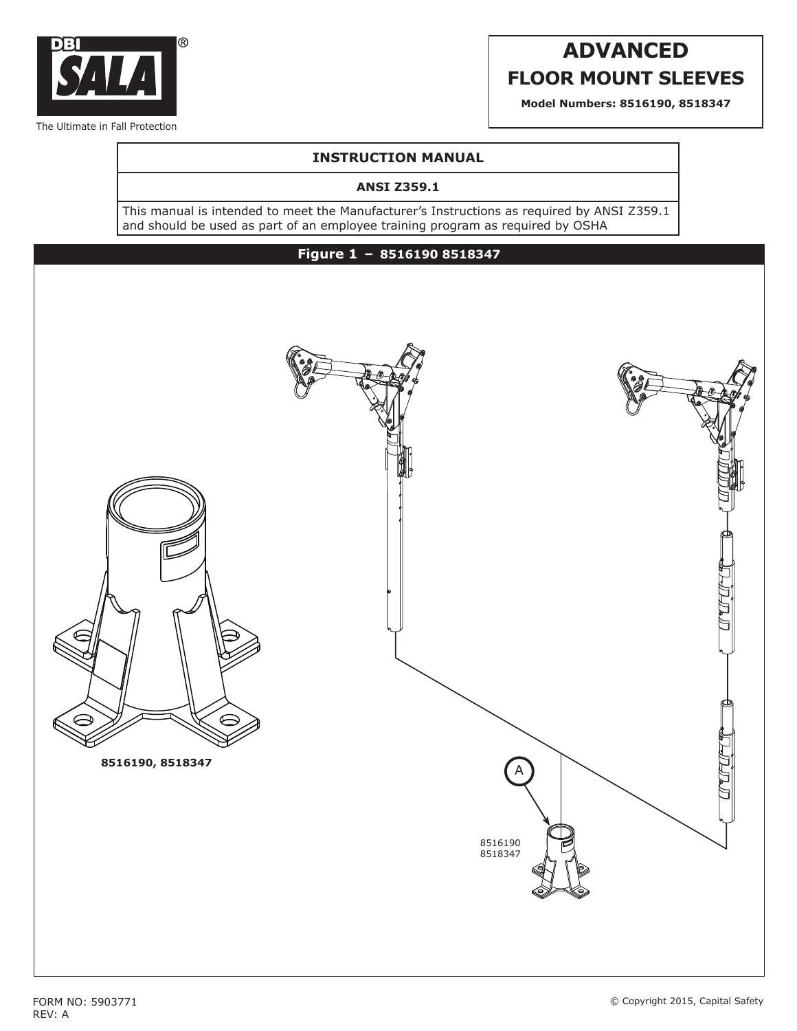

# **ADVANCED FLOOR MOUNT SLEEVES**

**Model Numbers: 8516190, 8518347**

# **INSTRUCTION MANUAL**

### **ANSI Z359.1**

This manual is intended to meet the Manufacturer's Instructions as required by ANSI Z359.1 and should be used as part of an employee training program as required by OSHA

# **Figure 1 – 8516190 8518347**



REV: A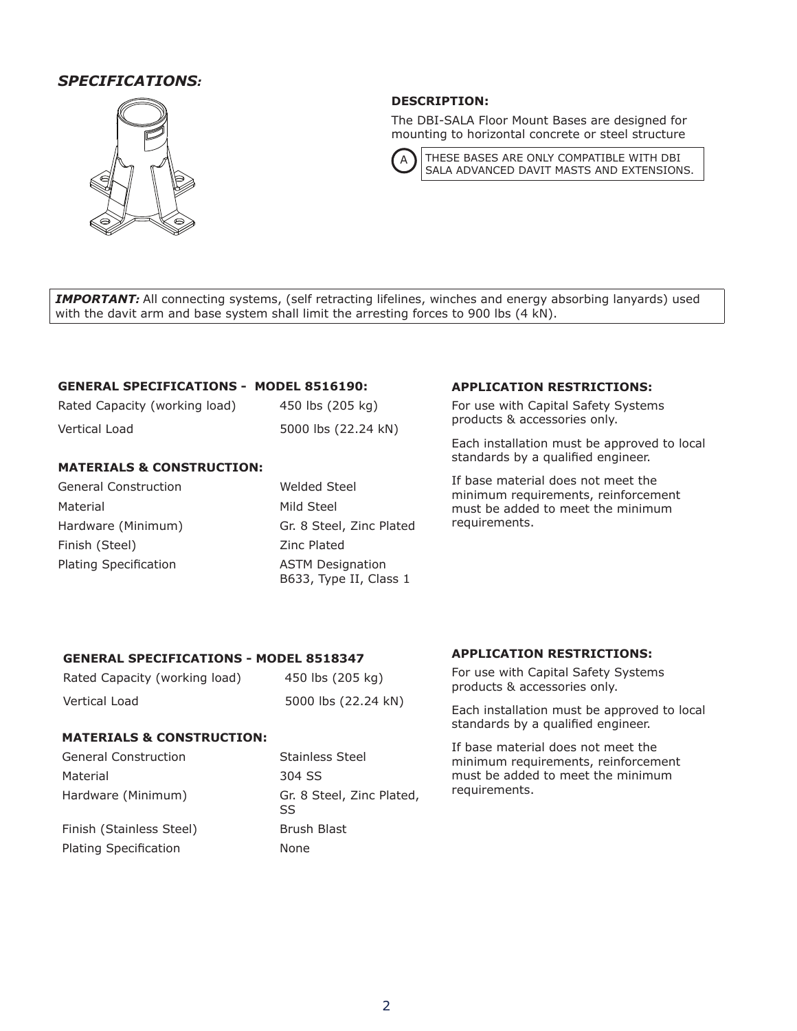# *SPECIFICATIONS:*



# **DESCRIPTION:**

The DBI-SALA Floor Mount Bases are designed for mounting to horizontal concrete or steel structure



 $\mathsf{A}$  THESE BASES ARE ONLY COMPATIBLE WITH DBI SALA ADVANCED DAVIT MASTS AND EXTENSIONS.

**IMPORTANT:** All connecting systems, (self retracting lifelines, winches and energy absorbing lanyards) used with the davit arm and base system shall limit the arresting forces to 900 lbs (4 kN).

## **GENERAL SPECIFICATIONS - MODEL 8516190:**

| Rated Capacity (working load) | 450 lbs (205 kg)    |
|-------------------------------|---------------------|
| Vertical Load                 | 5000 lbs (22.24 kN) |

### **MATERIALS & CONSTRUCTION:**

| <b>General Construction</b>  | Welded Steel                                      |
|------------------------------|---------------------------------------------------|
| Material                     | Mild Steel                                        |
| Hardware (Minimum)           | Gr. 8 Steel, Zinc Plated                          |
| Finish (Steel)               | Zinc Plated                                       |
| <b>Plating Specification</b> | <b>ASTM Designation</b><br>B633, Type II, Class 1 |

### **APPLICATION RESTRICTIONS:**

For use with Capital Safety Systems products & accessories only.

Each installation must be approved to local standards by a qualified engineer.

If base material does not meet the minimum requirements, reinforcement must be added to meet the minimum requirements.

## **GENERAL SPECIFICATIONS - MODEL 8518347**

| Rated Capacity (working load) | 450 lbs (205 kg)    |
|-------------------------------|---------------------|
| Vertical Load                 | 5000 lbs (22.24 kN) |

### **MATERIALS & CONSTRUCTION:**

| <b>General Construction</b>  | <b>Stainless Steel</b>           |   |
|------------------------------|----------------------------------|---|
| Material                     | 304 SS                           | r |
| Hardware (Minimum)           | Gr. 8 Steel, Zinc Plated,<br>SS. | r |
| Finish (Stainless Steel)     | Brush Blast                      |   |
| <b>Plating Specification</b> | None                             |   |

### **APPLICATION RESTRICTIONS:**

For use with Capital Safety Systems products & accessories only.

Each installation must be approved to local standards by a qualified engineer.

If base material does not meet the minimum requirements, reinforcement must be added to meet the minimum requirements.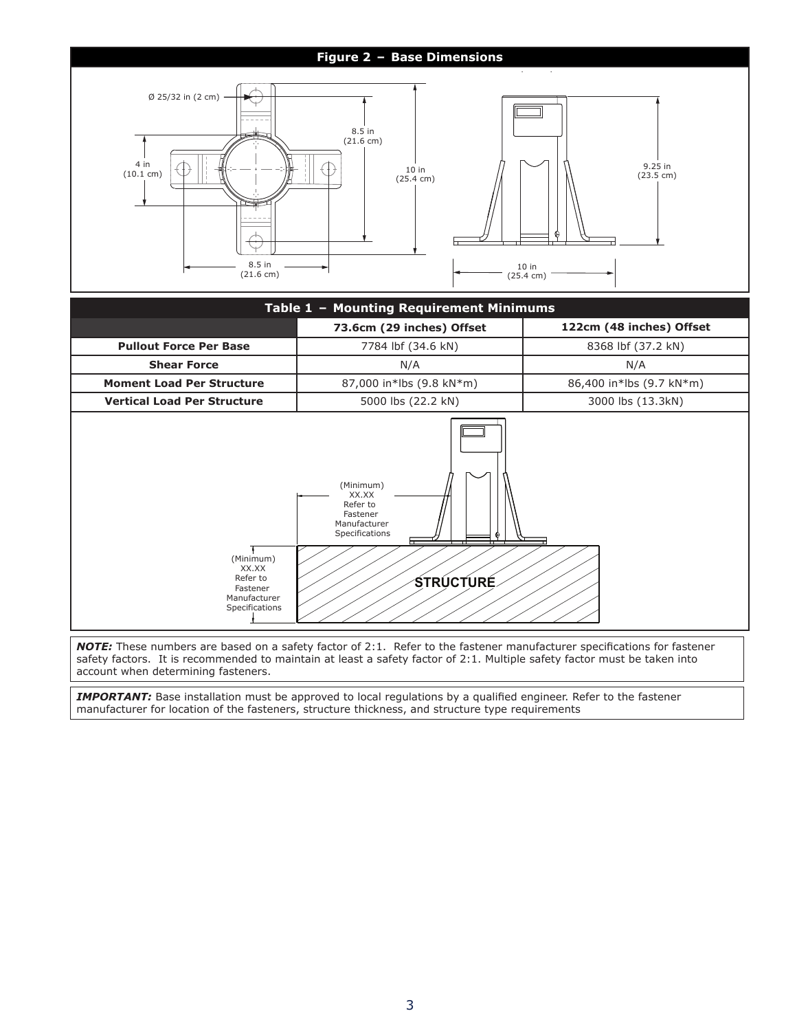# **Figure 2 – Base Dimensions**



| Table 1 - Mounting Requirement Minimums                                      |                                                                                                       |                          |  |
|------------------------------------------------------------------------------|-------------------------------------------------------------------------------------------------------|--------------------------|--|
|                                                                              | 73.6cm (29 inches) Offset                                                                             | 122cm (48 inches) Offset |  |
| <b>Pullout Force Per Base</b>                                                | 7784 lbf (34.6 kN)                                                                                    | 8368 lbf (37.2 kN)       |  |
| <b>Shear Force</b>                                                           | N/A                                                                                                   | N/A                      |  |
| <b>Moment Load Per Structure</b>                                             | 87,000 in*lbs (9.8 kN*m)                                                                              | 86,400 in*lbs (9.7 kN*m) |  |
| <b>Vertical Load Per Structure</b>                                           | 5000 lbs (22.2 kN)                                                                                    | 3000 lbs (13.3kN)        |  |
| (Minimum)<br>XX.XX<br>Refer to<br>Fastener<br>Manufacturer<br>Specifications | (Minimum)<br>XX.XX<br>Refer to<br>Fastener<br>Manufacturer<br>Specifications<br>⊕<br><b>STRUCTURE</b> |                          |  |

*NOTE:* These numbers are based on a safety factor of 2:1. Refer to the fastener manufacturer specifications for fastener safety factors. It is recommended to maintain at least a safety factor of 2:1. Multiple safety factor must be taken into account when determining fasteners.

*IMPORTANT:* Base installation must be approved to local regulations by a qualified engineer. Refer to the fastener manufacturer for location of the fasteners, structure thickness, and structure type requirements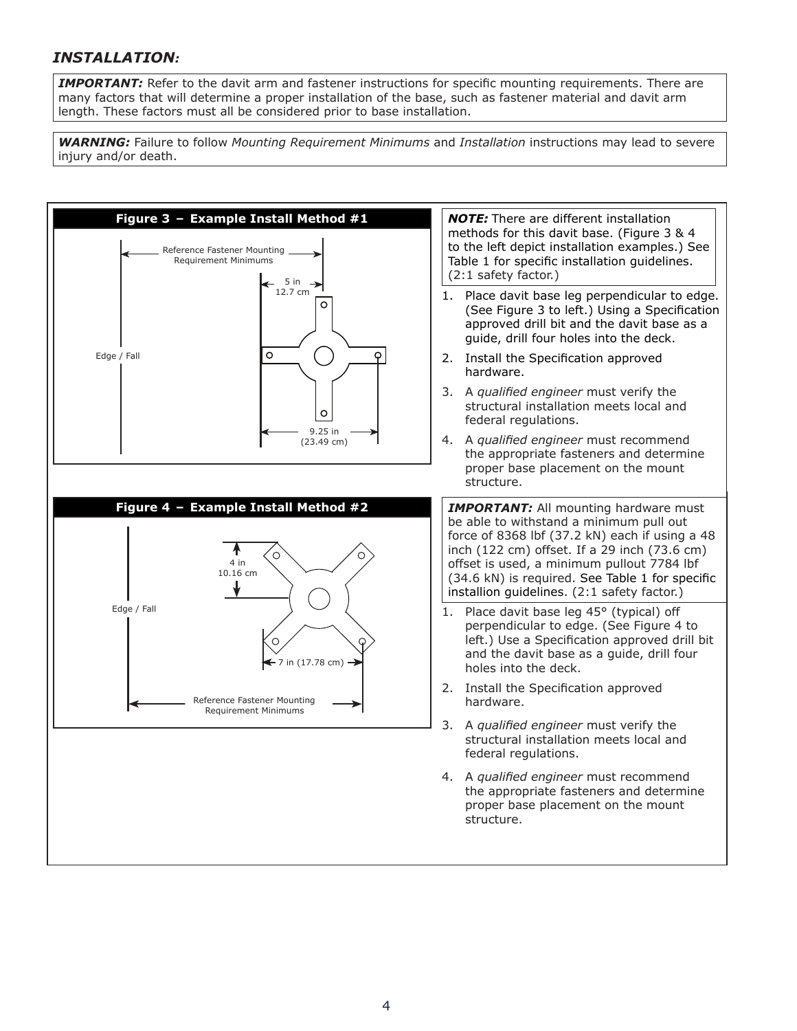# *INSTALLATION:*

**IMPORTANT:** Refer to the davit arm and fastener instructions for specific mounting requirements. There are many factors that will determine a proper installation of the base, such as fastener material and davit arm length. These factors must all be considered prior to base installation.

*WARNING:* Failure to follow *Mounting Requirement Minimums* and *Installation* instructions may lead to severe injury and/or death.

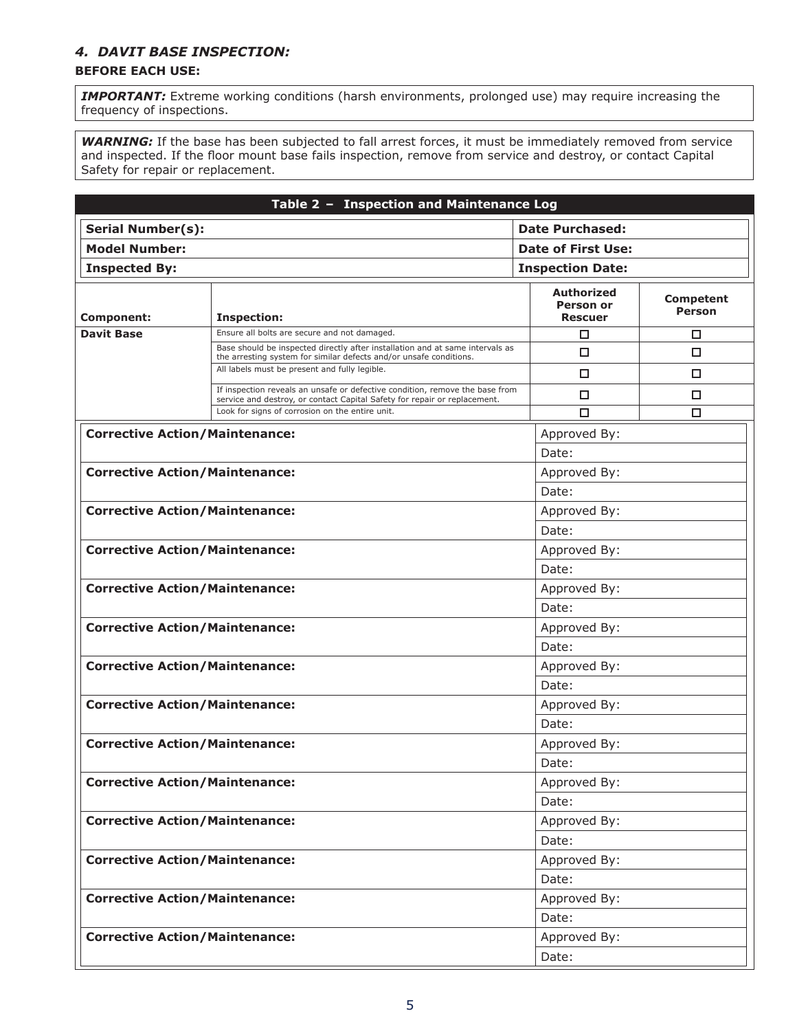# *4. DAVIT BASE INSPECTION:*

# **BEFORE EACH USE:**

**IMPORTANT:** Extreme working conditions (harsh environments, prolonged use) may require increasing the frequency of inspections.

WARNING: If the base has been subjected to fall arrest forces, it must be immediately removed from service and inspected. If the floor mount base fails inspection, remove from service and destroy, or contact Capital Safety for repair or replacement.

|                                       | Table 2 - Inspection and Maintenance Log                                                                                                                  |                                                  |                                   |  |
|---------------------------------------|-----------------------------------------------------------------------------------------------------------------------------------------------------------|--------------------------------------------------|-----------------------------------|--|
| <b>Serial Number(s):</b>              |                                                                                                                                                           | <b>Date Purchased:</b>                           |                                   |  |
| <b>Model Number:</b>                  |                                                                                                                                                           | Date of First Use:                               |                                   |  |
| <b>Inspected By:</b>                  |                                                                                                                                                           | <b>Inspection Date:</b>                          |                                   |  |
| <b>Component:</b>                     | <b>Inspection:</b>                                                                                                                                        | Authorized<br><b>Person or</b><br><b>Rescuer</b> | <b>Competent</b><br><b>Person</b> |  |
| <b>Davit Base</b>                     | Ensure all bolts are secure and not damaged.                                                                                                              | □                                                | □                                 |  |
|                                       | Base should be inspected directly after installation and at same intervals as<br>the arresting system for similar defects and/or unsafe conditions.       | □                                                | □                                 |  |
|                                       | All labels must be present and fully legible.                                                                                                             | □                                                | 0                                 |  |
|                                       | If inspection reveals an unsafe or defective condition, remove the base from<br>service and destroy, or contact Capital Safety for repair or replacement. | □                                                | □                                 |  |
|                                       | Look for signs of corrosion on the entire unit.                                                                                                           | П                                                | □                                 |  |
| <b>Corrective Action/Maintenance:</b> |                                                                                                                                                           | Approved By:                                     |                                   |  |
|                                       |                                                                                                                                                           | Date:                                            |                                   |  |
| <b>Corrective Action/Maintenance:</b> |                                                                                                                                                           | Approved By:                                     |                                   |  |
|                                       |                                                                                                                                                           | Date:                                            |                                   |  |
| <b>Corrective Action/Maintenance:</b> |                                                                                                                                                           | Approved By:                                     |                                   |  |
|                                       |                                                                                                                                                           | Date:                                            |                                   |  |
| <b>Corrective Action/Maintenance:</b> |                                                                                                                                                           | Approved By:                                     |                                   |  |
|                                       |                                                                                                                                                           | Date:                                            |                                   |  |
| <b>Corrective Action/Maintenance:</b> |                                                                                                                                                           | Approved By:                                     |                                   |  |
|                                       |                                                                                                                                                           | Date:                                            |                                   |  |
| <b>Corrective Action/Maintenance:</b> |                                                                                                                                                           | Approved By:                                     |                                   |  |
|                                       |                                                                                                                                                           | Date:                                            |                                   |  |
| <b>Corrective Action/Maintenance:</b> |                                                                                                                                                           | Approved By:                                     |                                   |  |
|                                       |                                                                                                                                                           | Date:                                            |                                   |  |
| <b>Corrective Action/Maintenance:</b> |                                                                                                                                                           | Approved By:                                     |                                   |  |
|                                       |                                                                                                                                                           | Date:                                            |                                   |  |
| <b>Corrective Action/Maintenance:</b> |                                                                                                                                                           | Approved By:                                     |                                   |  |
|                                       |                                                                                                                                                           | Date:                                            |                                   |  |
| <b>Corrective Action/Maintenance:</b> |                                                                                                                                                           | Approved By:                                     |                                   |  |
|                                       |                                                                                                                                                           | Date:                                            |                                   |  |
| <b>Corrective Action/Maintenance:</b> |                                                                                                                                                           | Approved By:                                     |                                   |  |
|                                       |                                                                                                                                                           | Date:                                            |                                   |  |
| <b>Corrective Action/Maintenance:</b> |                                                                                                                                                           | Approved By:                                     |                                   |  |
|                                       |                                                                                                                                                           | Date:                                            |                                   |  |
| <b>Corrective Action/Maintenance:</b> |                                                                                                                                                           | Approved By:                                     |                                   |  |
|                                       |                                                                                                                                                           | Date:                                            |                                   |  |
| <b>Corrective Action/Maintenance:</b> |                                                                                                                                                           | Approved By:                                     |                                   |  |
|                                       |                                                                                                                                                           | Date:                                            |                                   |  |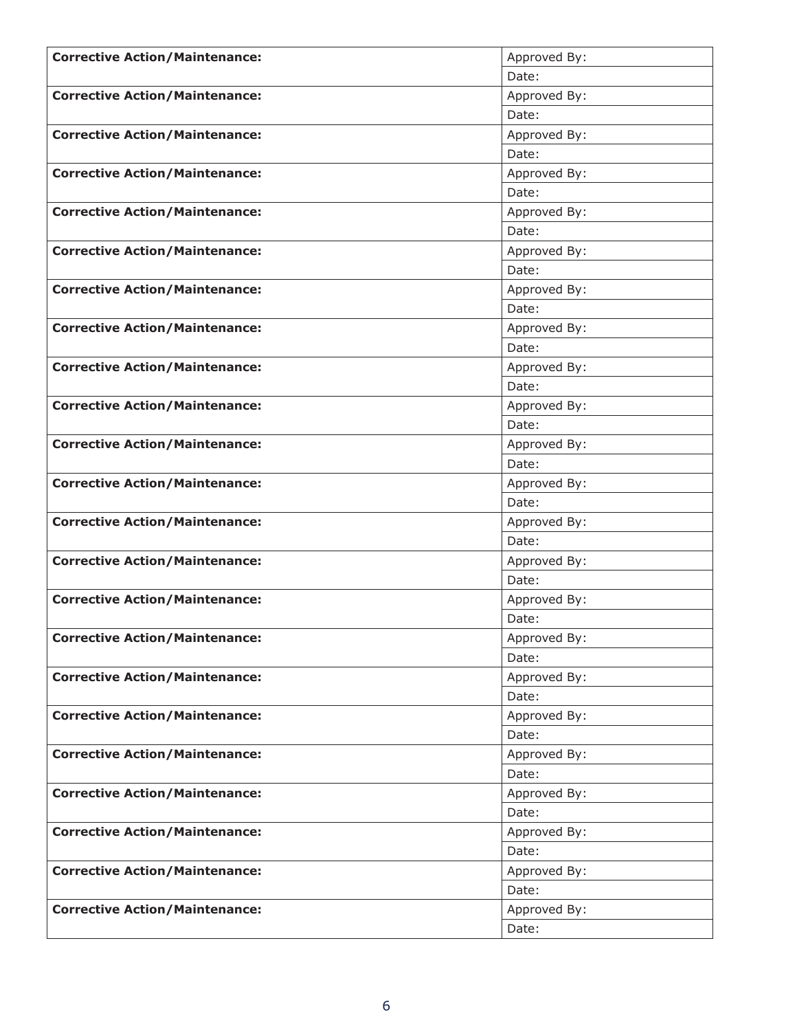| <b>Corrective Action/Maintenance:</b> | Approved By:          |
|---------------------------------------|-----------------------|
|                                       | Date:                 |
| <b>Corrective Action/Maintenance:</b> | Approved By:          |
|                                       | Date:                 |
| <b>Corrective Action/Maintenance:</b> | Approved By:          |
|                                       | Date:                 |
| <b>Corrective Action/Maintenance:</b> | Approved By:          |
|                                       | Date:                 |
| <b>Corrective Action/Maintenance:</b> | Approved By:          |
|                                       | Date:                 |
| <b>Corrective Action/Maintenance:</b> | Approved By:          |
|                                       | Date:                 |
| <b>Corrective Action/Maintenance:</b> | Approved By:          |
|                                       | Date:                 |
| <b>Corrective Action/Maintenance:</b> | Approved By:          |
|                                       | Date:                 |
| <b>Corrective Action/Maintenance:</b> | Approved By:          |
|                                       | Date:                 |
| <b>Corrective Action/Maintenance:</b> | Approved By:          |
|                                       | Date:                 |
| <b>Corrective Action/Maintenance:</b> | Approved By:          |
|                                       | Date:                 |
| <b>Corrective Action/Maintenance:</b> | Approved By:          |
|                                       | Date:                 |
| <b>Corrective Action/Maintenance:</b> | Approved By:          |
|                                       | Date:                 |
| <b>Corrective Action/Maintenance:</b> | Approved By:          |
|                                       | Date:                 |
| <b>Corrective Action/Maintenance:</b> | Approved By:          |
|                                       | Date:                 |
| <b>Corrective Action/Maintenance:</b> | Approved By:          |
|                                       | Date:                 |
| <b>Corrective Action/Maintenance:</b> | Approved By:          |
|                                       | Date:                 |
| <b>Corrective Action/Maintenance:</b> | Approved By:          |
| <b>Corrective Action/Maintenance:</b> | Date:                 |
|                                       | Approved By:          |
|                                       | Date:                 |
| <b>Corrective Action/Maintenance:</b> | Approved By:          |
| <b>Corrective Action/Maintenance:</b> | Date:                 |
|                                       | Approved By:<br>Date: |
| <b>Corrective Action/Maintenance:</b> |                       |
|                                       | Approved By:          |
|                                       | Date:                 |
| <b>Corrective Action/Maintenance:</b> | Approved By:          |
|                                       | Date:                 |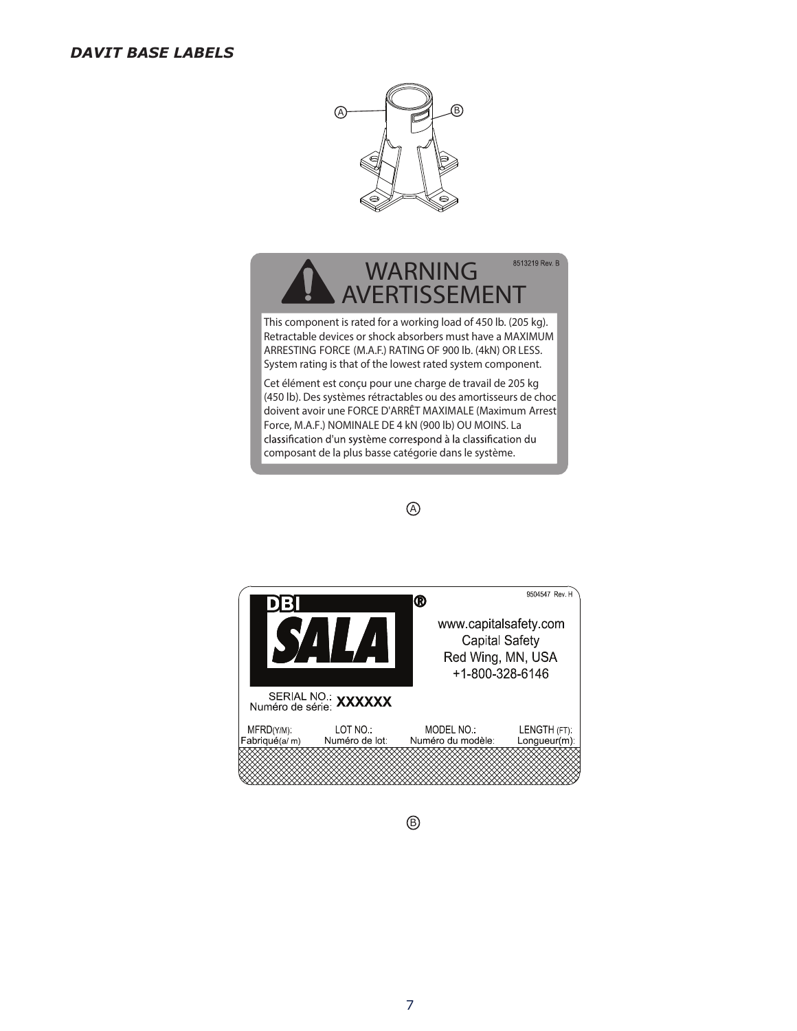# *DAVIT BASE LABELS*



# 8513219 Rev. B **WARNING AVERTISSEMENT**

This component is rated for a working load of 450 lb. (205 kg). Retractable devices or shock absorbers must have a MAXIMUM ARRESTING FORCE (M.A.F.) RATING OF 900 lb. (4kN) OR LESS. System rating is that of the lowest rated system component.

Cet élément est conçu pour une charge de travail de 205 kg (450 lb). Des systèmes rétractables ou des amortisseurs de choc doivent avoir une FORCE D'ARRÊT MAXIMALE (Maximum Arrest Force, M.A.F.) NOMINALE DE 4 kN (900 lb) OU MOINS. La classification d'un système correspond à la classification du composant de la plus basse catégorie dans le système.





 $^{\circledR}$